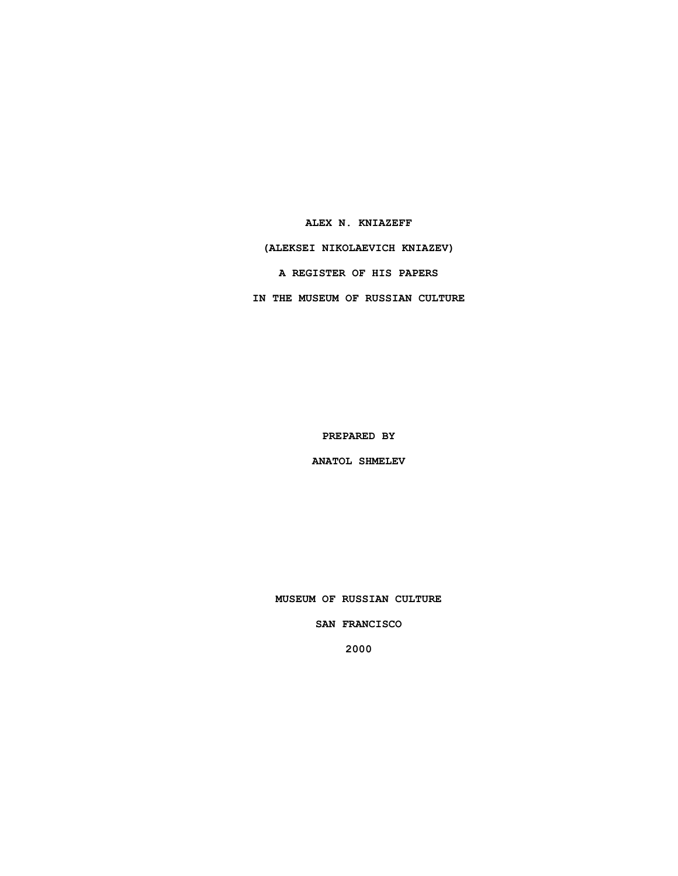**ALEX N. KNIAZEFF (ALEKSEI NIKOLAEVICH KNIAZEV) A REGISTER OF HIS PAPERS IN THE MUSEUM OF RUSSIAN CULTURE**

**PREPARED BY**

**ANATOL SHMELEV**

**MUSEUM OF RUSSIAN CULTURE**

**SAN FRANCISCO**

**2000**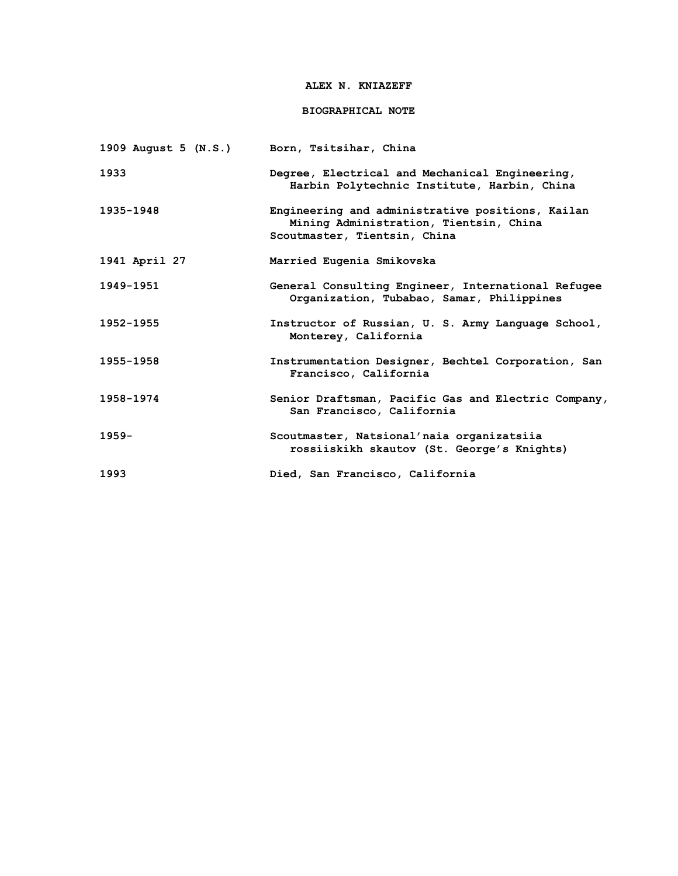### **ALEX N. KNIAZEFF**

## **BIOGRAPHICAL NOTE**

| 1909 August 5 (N.S.) | Born, Tsitsihar, China                                                                                                     |
|----------------------|----------------------------------------------------------------------------------------------------------------------------|
| 1933                 | Degree, Electrical and Mechanical Engineering,<br>Harbin Polytechnic Institute, Harbin, China                              |
| 1935-1948            | Engineering and administrative positions, Kailan<br>Mining Administration, Tientsin, China<br>Scoutmaster, Tientsin, China |
| 1941 April 27        | Married Eugenia Smikovska                                                                                                  |
| 1949-1951            | General Consulting Engineer, International Refugee<br>Organization, Tubabao, Samar, Philippines                            |
| 1952-1955            | Instructor of Russian, U. S. Army Language School,<br>Monterey, California                                                 |
| 1955-1958            | Instrumentation Designer, Bechtel Corporation, San<br>Francisco, California                                                |
| 1958-1974            | Senior Draftsman, Pacific Gas and Electric Company,<br>San Francisco, California                                           |
| $1959 -$             | Scoutmaster, Natsional'naia organizatsiia<br>rossiiskikh skautov (St. George's Knights)                                    |
| 1993                 | Died, San Francisco, California                                                                                            |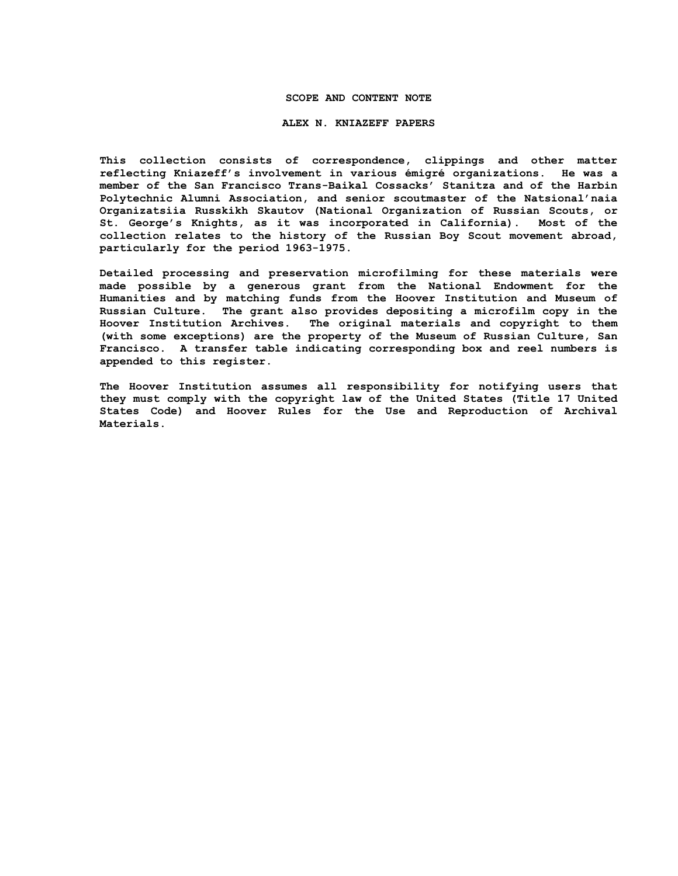### **SCOPE AND CONTENT NOTE**

#### **ALEX N. KNIAZEFF PAPERS**

**This collection consists of correspondence, clippings and other matter reflecting Kniazeff's involvement in various émigré organizations. He was a member of the San Francisco Trans-Baikal Cossacks' Stanitza and of the Harbin Polytechnic Alumni Association, and senior scoutmaster of the Natsional'naia Organizatsiia Russkikh Skautov (National Organization of Russian Scouts, or St. George's Knights, as it was incorporated in California). Most of the collection relates to the history of the Russian Boy Scout movement abroad, particularly for the period 1963-1975.**

**Detailed processing and preservation microfilming for these materials were made possible by a generous grant from the National Endowment for the Humanities and by matching funds from the Hoover Institution and Museum of Russian Culture. The grant also provides depositing a microfilm copy in the Hoover Institution Archives. The original materials and copyright to them (with some exceptions) are the property of the Museum of Russian Culture, San Francisco. A transfer table indicating corresponding box and reel numbers is appended to this register.**

**The Hoover Institution assumes all responsibility for notifying users that they must comply with the copyright law of the United States (Title 17 United States Code) and Hoover Rules for the Use and Reproduction of Archival Materials.**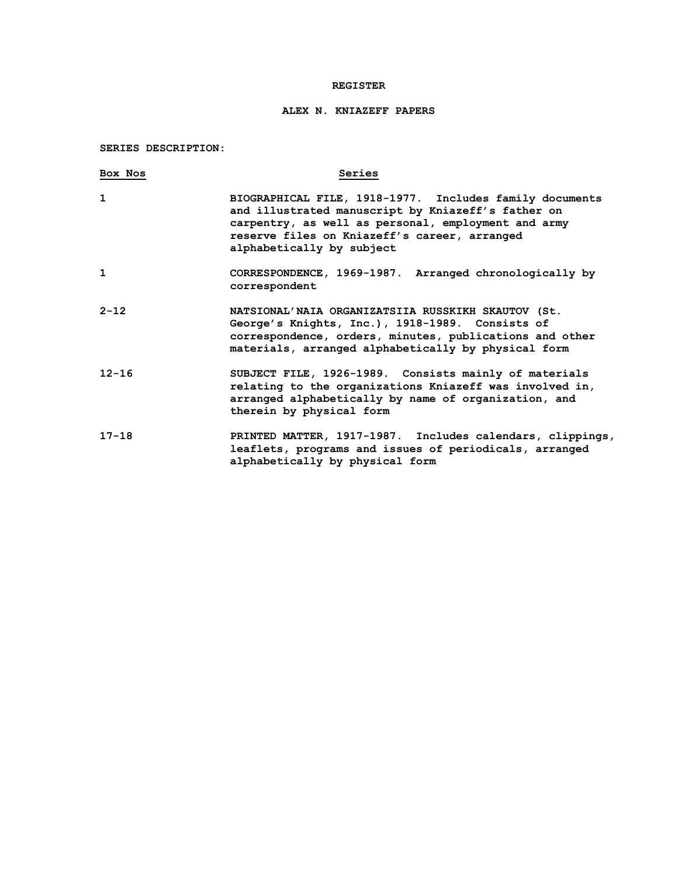### **REGISTER**

# **ALEX N. KNIAZEFF PAPERS**

**SERIES DESCRIPTION:**

| Box Nos   | Series                                                                                                                                                                                                                                            |
|-----------|---------------------------------------------------------------------------------------------------------------------------------------------------------------------------------------------------------------------------------------------------|
| 1         | BIOGRAPHICAL FILE, 1918-1977. Includes family documents<br>and illustrated manuscript by Kniazeff's father on<br>carpentry, as well as personal, employment and army<br>reserve files on Kniazeff's career, arranged<br>alphabetically by subject |
| 1         | CORRESPONDENCE, 1969-1987. Arranged chronologically by<br>correspondent                                                                                                                                                                           |
| $2 - 12$  | NATSIONAL'NAIA ORGANIZATSIIA RUSSKIKH SKAUTOV (St.<br>George's Knights, Inc.), 1918-1989. Consists of<br>correspondence, orders, minutes, publications and other<br>materials, arranged alphabetically by physical form                           |
| $12 - 16$ | SUBJECT FILE, 1926-1989. Consists mainly of materials<br>relating to the organizations Kniazeff was involved in,<br>arranged alphabetically by name of organization, and<br>therein by physical form                                              |
| $17 - 18$ | PRINTED MATTER, 1917-1987. Includes calendars, clippings,<br>leaflets, programs and issues of periodicals, arranged<br>alphabetically by physical form                                                                                            |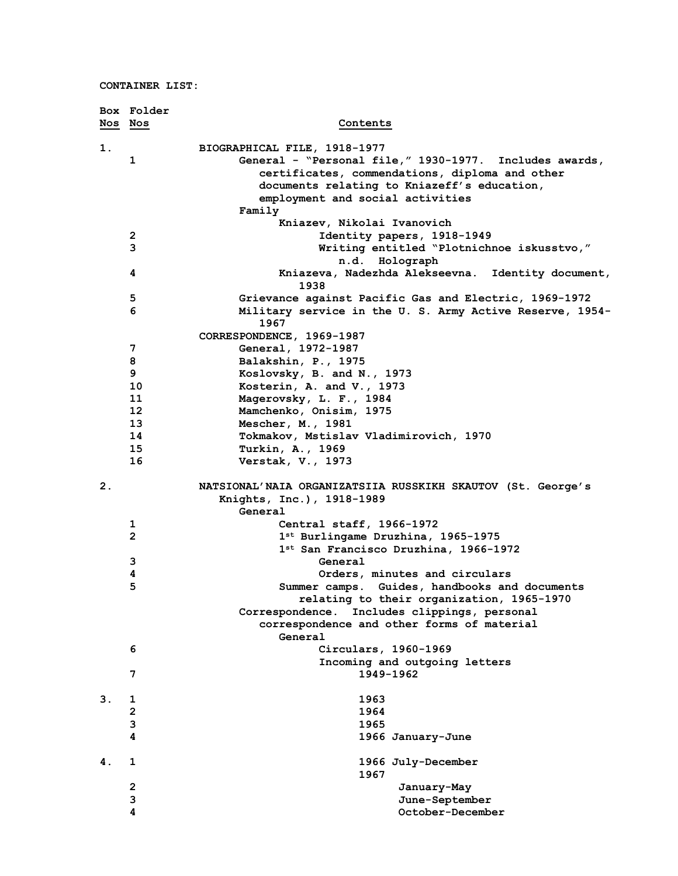|                | Box Folder              |                                                                 |
|----------------|-------------------------|-----------------------------------------------------------------|
|                | Nos Nos                 | Contents                                                        |
| 1.             |                         | BIOGRAPHICAL FILE, 1918-1977                                    |
|                | 1                       | General - "Personal file," 1930-1977. Includes awards,          |
|                |                         | certificates, commendations, diploma and other                  |
|                |                         | documents relating to Kniazeff's education,                     |
|                |                         | employment and social activities                                |
|                |                         | Family                                                          |
|                |                         | Kniazev, Nikolai Ivanovich                                      |
|                | 2                       | Identity papers, 1918-1949                                      |
|                | 3                       | Writing entitled "Plotnichnoe iskusstvo,"                       |
|                |                         | n.d. Holograph                                                  |
|                | 4                       | Kniazeva, Nadezhda Alekseevna. Identity document,<br>1938       |
|                | 5                       | Grievance against Pacific Gas and Electric, 1969-1972           |
|                | 6                       | Military service in the U.S. Army Active Reserve, 1954-<br>1967 |
|                |                         | CORRESPONDENCE, 1969-1987                                       |
|                | 7                       | General, 1972-1987                                              |
|                | 8                       | Balakshin, P., 1975                                             |
|                | 9                       | Koslovsky, B. and N., 1973                                      |
|                | 10                      | Kosterin, A. and V., 1973                                       |
|                | 11                      | Magerovsky, L. F., 1984                                         |
|                | 12                      | Mamchenko, Onisim, 1975                                         |
|                | 13                      | Mescher, M., 1981                                               |
|                | 14                      | Tokmakov, Mstislav Vladimirovich, 1970                          |
|                | 15                      | Turkin, A., 1969                                                |
|                | 16                      | Verstak, V., 1973                                               |
|                |                         |                                                                 |
| 2 <sub>1</sub> |                         | NATSIONAL'NAIA ORGANIZATSIIA RUSSKIKH SKAUTOV (St. George's     |
|                |                         | Knights, Inc.), 1918-1989                                       |
|                |                         | General                                                         |
|                | 1                       | Central staff, 1966-1972                                        |
|                | $\overline{2}$          | 1st Burlingame Druzhina, 1965-1975                              |
|                |                         | 1st San Francisco Druzhina, 1966-1972                           |
|                | 3                       | General                                                         |
|                | 4                       | Orders, minutes and circulars                                   |
|                | 5                       | Summer camps. Guides, handbooks and documents                   |
|                |                         | relating to their organization, 1965-1970                       |
|                |                         | Correspondence.<br>Includes clippings, personal                 |
|                |                         | correspondence and other forms of material                      |
|                |                         | General                                                         |
|                | 6                       | Circulars, 1960-1969                                            |
|                |                         | Incoming and outgoing letters                                   |
|                | 7                       | 1949-1962                                                       |
|                |                         |                                                                 |
| 3.             | 1                       | 1963                                                            |
|                | $\overline{\mathbf{c}}$ | 1964                                                            |
|                | 3                       | 1965                                                            |
|                | 4                       | 1966 January-June                                               |
|                |                         |                                                                 |
| 4.             | 1                       | 1966 July-December                                              |
|                |                         | 1967                                                            |
|                | $\overline{\mathbf{c}}$ | January-May                                                     |
|                | 3                       | June-September                                                  |
|                | 4                       | October-December                                                |
|                |                         |                                                                 |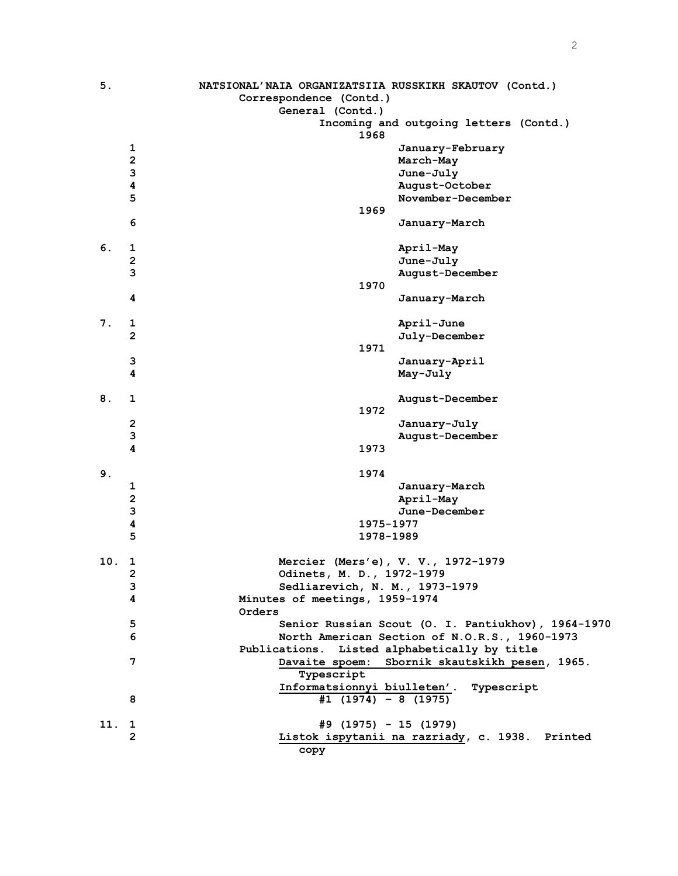| 5.  |                         | NATSIONAL'NAIA ORGANIZATSIIA RUSSKIKH SKAUTOV (Contd.)       |
|-----|-------------------------|--------------------------------------------------------------|
|     |                         | Correspondence (Contd.)                                      |
|     |                         | General (Contd.)                                             |
|     |                         | Incoming and outgoing letters (Contd.)<br>1968               |
|     | 1                       | January-February                                             |
|     | 2                       | March-May                                                    |
|     | $\mathbf{3}$            | June-July                                                    |
|     | $\overline{\mathbf{4}}$ | August-October                                               |
|     | $\overline{5}$          | November-December                                            |
|     |                         | 1969                                                         |
|     | 6                       | January-March                                                |
| 6.  | 1                       | April-May                                                    |
|     | $\mathbf 2$             | June-July                                                    |
|     | 3                       | August-December                                              |
|     |                         | 1970                                                         |
|     | 4                       | January-March                                                |
| 7.  | 1                       | April-June                                                   |
|     | $\mathbf{2}$            | July-December                                                |
|     |                         | 1971                                                         |
|     | 3                       | January-April                                                |
|     | 4                       | May-July                                                     |
|     |                         |                                                              |
| 8.  | 1                       | August-December                                              |
|     |                         | 1972                                                         |
|     | $\mathbf{2}$            | January-July                                                 |
|     | 3                       | August-December                                              |
|     | 4                       | 1973                                                         |
|     |                         |                                                              |
| 9.  |                         | 1974                                                         |
|     | 1                       | January-March                                                |
|     | $\mathbf 2$             | April-May                                                    |
|     | $\overline{\mathbf{3}}$ | June-December                                                |
|     | 4                       | 1975-1977                                                    |
|     | $\overline{5}$          | 1978-1989                                                    |
| 10. | 1                       | Mercier (Mers'e), V. V., 1972-1979                           |
|     | 2                       | Odinets, M. D., 1972-1979                                    |
|     | 3                       | Sedliarevich, N. M., 1973-1979                               |
|     | 4                       | Minutes of meetings, 1959-1974                               |
|     |                         | Orders                                                       |
|     | 5                       | Senior Russian Scout (O. I. Pantiukhov), 1964-1970           |
|     | 6                       | North American Section of N.O.R.S., 1960-1973                |
|     |                         | Publications. Listed alphabetically by title                 |
|     | 7                       | Davaite spoem: Sbornik skautskikh pesen, 1965.<br>Typescript |
|     |                         | Informatsionnyi biulleten'. Typescript                       |
|     | 8                       | $#1$ (1974) - 8 (1975)                                       |
|     |                         |                                                              |
| 11. | 1                       | #9 (1975) - 15 (1979)                                        |
|     | $\overline{2}$          | Listok ispytanii na razriady, c. 1938. Printed               |
|     |                         | сору                                                         |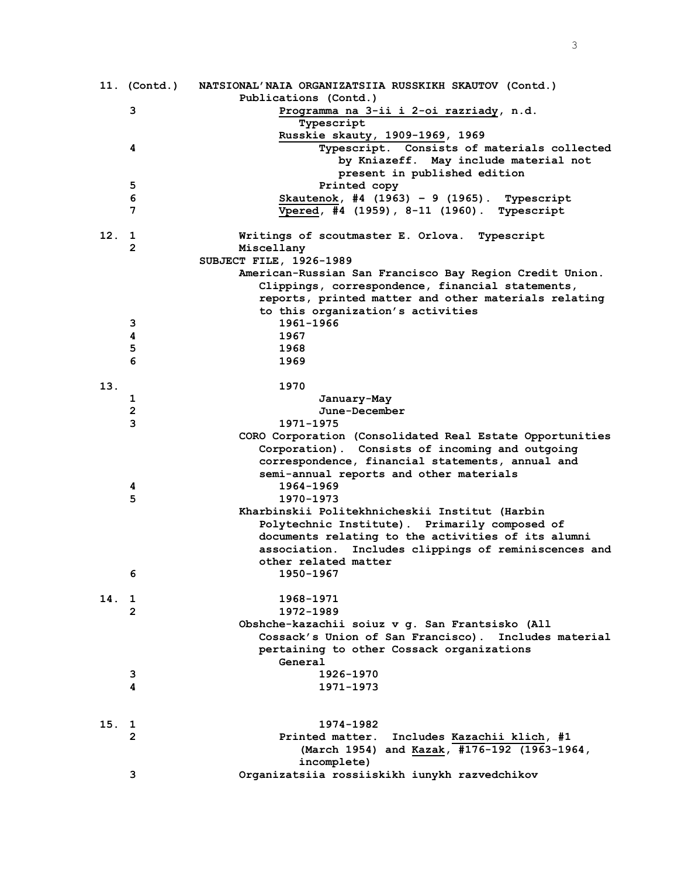|     | 11. (Contd.)   | NATSIONAL'NAIA ORGANIZATSIIA RUSSKIKH SKAUTOV (Contd.)<br>Publications (Contd.) |
|-----|----------------|---------------------------------------------------------------------------------|
|     | 3              | Programma na 3-ii i 2-oi razriady, n.d.                                         |
|     |                | Typescript                                                                      |
|     |                | Russkie skauty, 1909-1969, 1969                                                 |
|     | 4              | Typescript. Consists of materials collected                                     |
|     |                | by Kniazeff. May include material not                                           |
|     |                |                                                                                 |
|     |                | present in published edition                                                    |
|     | 5              | Printed copy                                                                    |
|     | 6              | Skautenok, #4 $(1963) - 9$ $(1965)$ . Typescript                                |
|     | 7              | Vpered, #4 (1959), 8-11 (1960). Typescript                                      |
| 12. | 1              | Writings of scoutmaster E. Orlova. Typescript                                   |
|     | 2              | Miscellany                                                                      |
|     |                | SUBJECT FILE, 1926-1989                                                         |
|     |                | American-Russian San Francisco Bay Region Credit Union.                         |
|     |                | Clippings, correspondence, financial statements,                                |
|     |                | reports, printed matter and other materials relating                            |
|     |                | to this organization's activities                                               |
|     | 3              | 1961-1966                                                                       |
|     | 4              | 1967                                                                            |
|     | 5              | 1968                                                                            |
|     | 6              | 1969                                                                            |
| 13. |                | 1970                                                                            |
|     | 1              | January-May                                                                     |
|     | 2              | June-December                                                                   |
|     | 3              | 1971-1975                                                                       |
|     |                | CORO Corporation (Consolidated Real Estate Opportunities                        |
|     |                | Corporation). Consists of incoming and outgoing                                 |
|     |                |                                                                                 |
|     |                | correspondence, financial statements, annual and                                |
|     |                | semi-annual reports and other materials                                         |
|     | 4              | 1964-1969                                                                       |
|     | 5              | 1970-1973                                                                       |
|     |                | Kharbinskii Politekhnicheskii Institut (Harbin                                  |
|     |                | Polytechnic Institute). Primarily composed of                                   |
|     |                | documents relating to the activities of its alumni                              |
|     |                | association. Includes clippings of reminiscences and                            |
|     |                | other related matter                                                            |
|     | 6              | 1950-1967                                                                       |
| 14. | 1              | 1968-1971                                                                       |
|     | $\overline{2}$ | 1972-1989                                                                       |
|     |                | Obshche-kazachii soiuz v g. San Frantsisko (All                                 |
|     |                | Cossack's Union of San Francisco). Includes material                            |
|     |                | pertaining to other Cossack organizations                                       |
|     |                | General                                                                         |
|     | 3              | 1926-1970                                                                       |
|     | 4              | 1971-1973                                                                       |
|     |                |                                                                                 |
| 15. | 1              | 1974-1982                                                                       |
|     | $\overline{2}$ | Printed matter.<br>Includes Kazachii klich, #1                                  |
|     |                | (March 1954) and Kazak, #176-192 (1963-1964,                                    |
|     |                | incomplete)                                                                     |
|     | 3              | Organizatsiia rossiiskikh iunykh razvedchikov                                   |